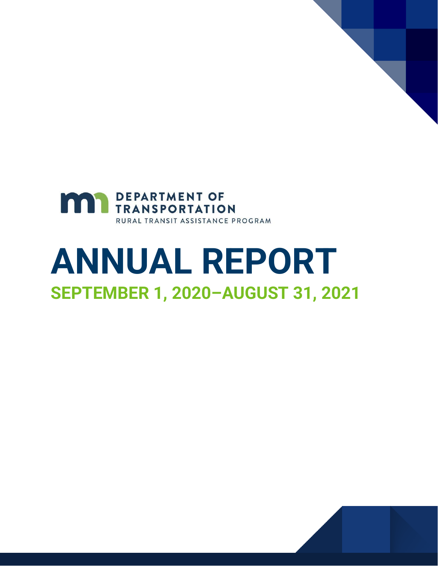

# **ANNUAL REPORT SEPTEMBER 1, 2020–AUGUST 31, 2021**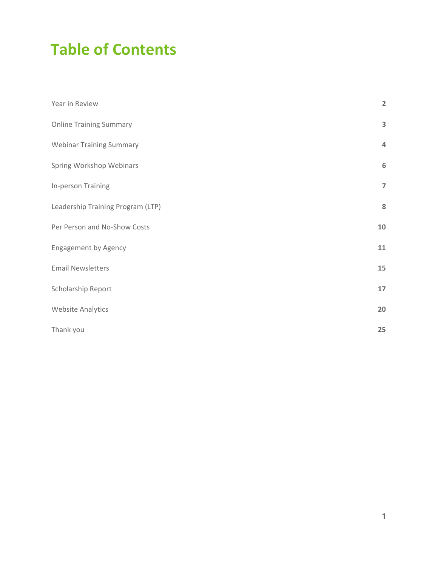### **Table of Contents**

| Year in Review                    | $\overline{2}$   |
|-----------------------------------|------------------|
| <b>Online Training Summary</b>    | 3                |
| <b>Webinar Training Summary</b>   | $\overline{4}$   |
| Spring Workshop Webinars          | $\boldsymbol{6}$ |
| In-person Training                | $\overline{7}$   |
| Leadership Training Program (LTP) | 8                |
| Per Person and No-Show Costs      | $10\,$           |
| <b>Engagement by Agency</b>       | 11               |
| <b>Email Newsletters</b>          | 15               |
| Scholarship Report                | 17               |
| <b>Website Analytics</b>          | 20               |
| Thank you                         | 25               |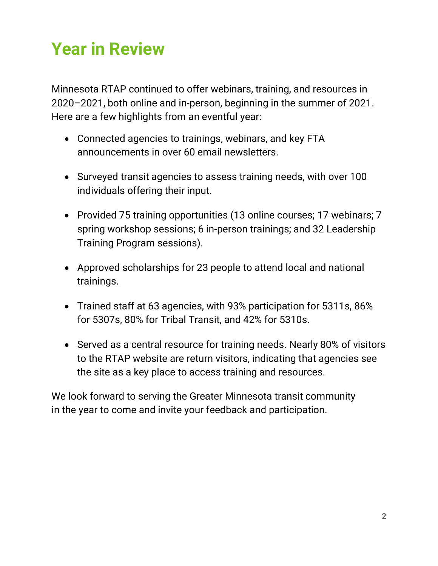## <span id="page-2-0"></span>**Year in Review**

Minnesota RTAP continued to offer webinars, training, and resources in 2020–2021, both online and in-person, beginning in the summer of 2021. Here are a few highlights from an eventful year:

- Connected agencies to trainings, webinars, and key FTA announcements in over 60 email newsletters.
- Surveyed transit agencies to assess training needs, with over 100 individuals offering their input.
- Provided 75 training opportunities (13 online courses; 17 webinars; 7 spring workshop sessions; 6 in-person trainings; and 32 Leadership Training Program sessions).
- Approved scholarships for 23 people to attend local and national trainings.
- Trained staff at 63 agencies, with 93% participation for 5311s, 86% for 5307s, 80% for Tribal Transit, and 42% for 5310s.
- Served as a central resource for training needs. Nearly 80% of visitors to the RTAP website are return visitors, indicating that agencies see the site as a key place to access training and resources.

We look forward to serving the Greater Minnesota transit community in the year to come and invite your feedback and participation.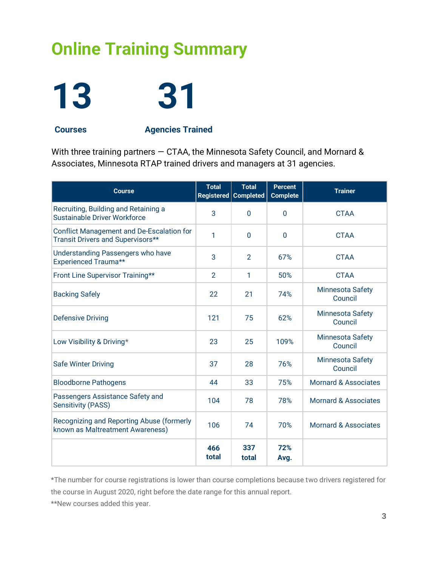## <span id="page-3-0"></span>**Online Training Summary**

# **13 31**

**Courses Agencies Trained**

With three training partners — CTAA, the Minnesota Safety Council, and Mornard & Associates, Minnesota RTAP trained drivers and managers at 31 agencies.

| <b>Course</b>                                                                         | <b>Total</b><br>Registered | <b>Total</b><br><b>Completed</b> | <b>Percent</b><br><b>Complete</b> | <b>Trainer</b>                     |
|---------------------------------------------------------------------------------------|----------------------------|----------------------------------|-----------------------------------|------------------------------------|
| Recruiting, Building and Retaining a<br>Sustainable Driver Workforce                  | 3                          | $\mathbf 0$                      | $\mathbf 0$                       | <b>CTAA</b>                        |
| <b>Conflict Management and De-Escalation for</b><br>Transit Drivers and Supervisors** | 1                          | $\Omega$                         | $\Omega$                          | <b>CTAA</b>                        |
| <b>Understanding Passengers who have</b><br><b>Experienced Trauma**</b>               | 3                          | $\overline{2}$                   | 67%                               | <b>CTAA</b>                        |
| Front Line Supervisor Training**                                                      | $\overline{2}$             | 1                                | 50%                               | <b>CTAA</b>                        |
| <b>Backing Safely</b>                                                                 | 22                         | 21                               | 74%                               | <b>Minnesota Safety</b><br>Council |
| <b>Defensive Driving</b>                                                              | 121                        | 75                               | 62%                               | <b>Minnesota Safety</b><br>Council |
| Low Visibility & Driving*                                                             | 23                         | 25                               | 109%                              | <b>Minnesota Safety</b><br>Council |
| <b>Safe Winter Driving</b>                                                            | 37                         | 28                               | 76%                               | <b>Minnesota Safety</b><br>Council |
| <b>Bloodborne Pathogens</b>                                                           | 44                         | 33                               | 75%                               | <b>Mornard &amp; Associates</b>    |
| Passengers Assistance Safety and<br><b>Sensitivity (PASS)</b>                         | 104                        | 78                               | 78%                               | Mornard & Associates               |
| Recognizing and Reporting Abuse (formerly<br>known as Maltreatment Awareness)         | 106                        | 74                               | 70%                               | <b>Mornard &amp; Associates</b>    |
|                                                                                       | 466<br>total               | 337<br>total                     | 72%<br>Avg.                       |                                    |

\*The number for course registrations is lower than course completions because two drivers registered for the course in August 2020, right before the date range for this annual report.

\*\*New courses added this year.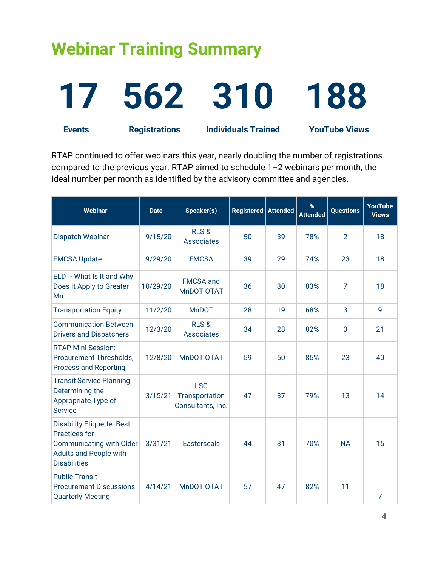### <span id="page-4-0"></span>**Webinar Training Summary**

## **17 562 310 188 Events Registrations Individuals Trained YouTube Views**

RTAP continued to offer webinars this year, nearly doubling the number of registrations compared to the previous year. RTAP aimed to schedule 1–2 webinars per month, the ideal number per month as identified by the advisory committee and agencies.

| Webinar                                                                                                                                              | <b>Date</b> | Speaker(s)                                        | Registered   Attended |    | %<br><b>Attended</b> | <b>Questions</b> | <b>YouTube</b><br><b>Views</b> |
|------------------------------------------------------------------------------------------------------------------------------------------------------|-------------|---------------------------------------------------|-----------------------|----|----------------------|------------------|--------------------------------|
| Dispatch Webinar                                                                                                                                     | 9/15/20     | RLS&<br><b>Associates</b>                         | 50                    | 39 | 78%                  | $\overline{2}$   | 18                             |
| <b>FMCSA Update</b>                                                                                                                                  | 9/29/20     | <b>FMCSA</b>                                      | 39                    | 29 | 74%                  | 23               | 18                             |
| ELDT-What Is It and Why<br>Does It Apply to Greater<br>Mn                                                                                            | 10/29/20    | <b>FMCSA</b> and<br>MnDOT OTAT                    | 36                    | 30 | 83%                  | $\overline{7}$   | 18                             |
| <b>Transportation Equity</b>                                                                                                                         | 11/2/20     | <b>MnDOT</b>                                      | 28                    | 19 | 68%                  | 3                | 9                              |
| <b>Communication Between</b><br><b>Drivers and Dispatchers</b>                                                                                       | 12/3/20     | <b>RLS&amp;</b><br><b>Associates</b>              | 34                    | 28 | 82%                  | $\overline{0}$   | 21                             |
| <b>RTAP Mini Session:</b><br>Procurement Thresholds,<br><b>Process and Reporting</b>                                                                 | 12/8/20     | MnDOT OTAT                                        | 59                    | 50 | 85%                  | 23               | 40                             |
| <b>Transit Service Planning:</b><br>Determining the<br>Appropriate Type of<br><b>Service</b>                                                         | 3/15/21     | <b>LSC</b><br>Transportation<br>Consultants, Inc. | 47                    | 37 | 79%                  | 13               | 14                             |
| <b>Disability Etiquette: Best</b><br><b>Practices for</b><br><b>Communicating with Older</b><br><b>Adults and People with</b><br><b>Disabilities</b> | 3/31/21     | <b>Easterseals</b>                                | 44                    | 31 | 70%                  | <b>NA</b>        | 15                             |
| <b>Public Transit</b><br><b>Procurement Discussions</b><br><b>Quarterly Meeting</b>                                                                  | 4/14/21     | MnDOT OTAT                                        | 57                    | 47 | 82%                  | 11               | $\overline{7}$                 |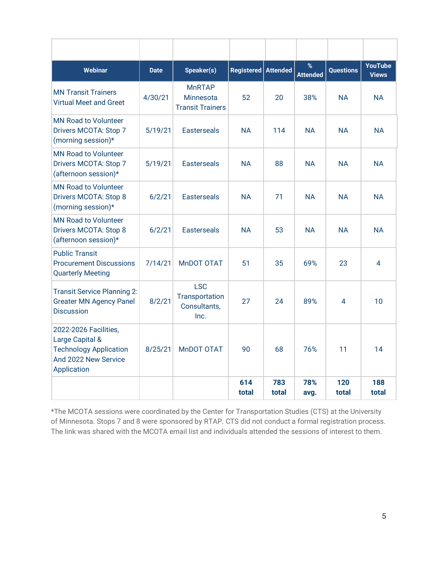| <b>Webinar</b>                                                                                                   | <b>Date</b> | Speaker(s)                                            | <b>Registered</b> | <b>Attended</b> | %<br><b>Attended</b> | <b>Questions</b> | <b>YouTube</b><br><b>Views</b> |
|------------------------------------------------------------------------------------------------------------------|-------------|-------------------------------------------------------|-------------------|-----------------|----------------------|------------------|--------------------------------|
| <b>MN Transit Trainers</b><br><b>Virtual Meet and Greet</b>                                                      | 4/30/21     | <b>MnRTAP</b><br>Minnesota<br><b>Transit Trainers</b> | 52                | 20              | 38%                  | <b>NA</b>        | <b>NA</b>                      |
| <b>MN Road to Volunteer</b><br>Drivers MCOTA: Stop 7<br>(morning session)*                                       | 5/19/21     | <b>Easterseals</b>                                    | <b>NA</b>         | 114             | <b>NA</b>            | <b>NA</b>        | <b>NA</b>                      |
| <b>MN Road to Volunteer</b><br>Drivers MCOTA: Stop 7<br>(afternoon session)*                                     | 5/19/21     | <b>Easterseals</b>                                    | <b>NA</b>         | 88              | <b>NA</b>            | <b>NA</b>        | <b>NA</b>                      |
| <b>MN Road to Volunteer</b><br>Drivers MCOTA: Stop 8<br>(morning session)*                                       | 6/2/21      | <b>Fasterseals</b>                                    | <b>NA</b>         | 71              | <b>NA</b>            | <b>NA</b>        | <b>NA</b>                      |
| <b>MN Road to Volunteer</b><br>Drivers MCOTA: Stop 8<br>(afternoon session)*                                     | 6/2/21      | <b>Easterseals</b>                                    | <b>NA</b>         | 53              | <b>NA</b>            | <b>NA</b>        | <b>NA</b>                      |
| <b>Public Transit</b><br><b>Procurement Discussions</b><br><b>Quarterly Meeting</b>                              | 7/14/21     | <b>MnDOT OTAT</b>                                     | 51                | 35              | 69%                  | 23               | 4                              |
| <b>Transit Service Planning 2:</b><br><b>Greater MN Agency Panel</b><br><b>Discussion</b>                        | 8/2/21      | <b>LSC</b><br>Transportation<br>Consultants,<br>Inc.  | 27                | 24              | 89%                  | 4                | 10                             |
| 2022-2026 Facilities,<br>Large Capital &<br><b>Technology Application</b><br>And 2022 New Service<br>Application | 8/25/21     | <b>MnDOT OTAT</b>                                     | 90                | 68              | 76%                  | 11               | 14                             |
|                                                                                                                  |             |                                                       | 614<br>total      | 783<br>total    | 78%<br>avg.          | 120<br>total     | 188<br>total                   |

\*The MCOTA sessions were coordinated by the Center for Transportation Studies (CTS) at the University of Minnesota. Stops 7 and 8 were sponsored by RTAP. CTS did not conduct a formal registration process. The link was shared with the MCOTA email list and individuals attended the sessions of interest to them.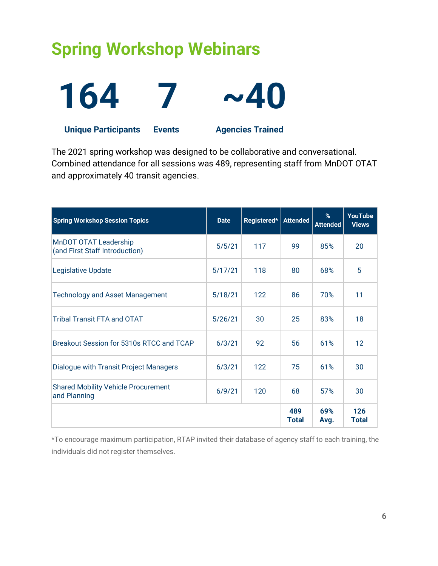### <span id="page-6-0"></span>**Spring Workshop Webinars**



The 2021 spring workshop was designed to be collaborative and conversational. Combined attendance for all sessions was 489, representing staff from MnDOT OTAT and approximately 40 transit agencies.

| <b>Spring Workshop Session Topics</b>                      | <b>Date</b> | Registered* | <b>Attended</b>     | %<br><b>Attended</b> | <b>YouTube</b><br><b>Views</b> |
|------------------------------------------------------------|-------------|-------------|---------------------|----------------------|--------------------------------|
| MnDOT OTAT Leadership<br>(and First Staff Introduction)    | 5/5/21      | 117         | 99                  | 85%                  | 20                             |
| <b>Legislative Update</b>                                  | 5/17/21     | 118         | 80                  | 68%                  | 5                              |
| <b>Technology and Asset Management</b>                     | 5/18/21     | 122         | 86                  | 70%                  | 11                             |
| <b>Tribal Transit FTA and OTAT</b>                         | 5/26/21     | 30          | 25                  | 83%                  | 18                             |
| Breakout Session for 5310s RTCC and TCAP                   | 6/3/21      | 92          | 56                  | 61%                  | 12                             |
| Dialogue with Transit Project Managers                     | 6/3/21      | 122         | 75                  | 61%                  | 30                             |
| <b>Shared Mobility Vehicle Procurement</b><br>and Planning | 6/9/21      | 120         | 68                  | 57%                  | 30                             |
|                                                            |             |             | 489<br><b>Total</b> | 69%<br>Avg.          | 126<br><b>Total</b>            |

\*To encourage maximum participation, RTAP invited their database of agency staff to each training, the individuals did not register themselves.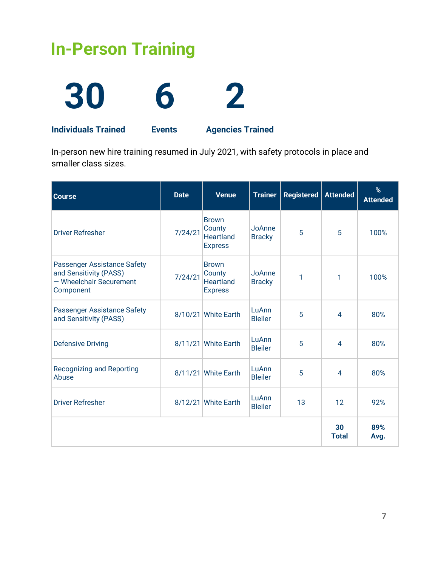### <span id="page-7-0"></span>**In-Person Training**



**Individuals Trained Events Agencies Trained**

In-person new hire training resumed in July 2021, with safety protocols in place and smaller class sizes.

| <b>Course</b>                                                                                        | <b>Date</b> | <b>Venue</b>                                                 | <b>Trainer</b>          | <b>Registered</b> | <b>Attended</b>    | %<br><b>Attended</b> |
|------------------------------------------------------------------------------------------------------|-------------|--------------------------------------------------------------|-------------------------|-------------------|--------------------|----------------------|
| <b>Driver Refresher</b>                                                                              | 7/24/21     | <b>Brown</b><br>County<br><b>Heartland</b><br><b>Express</b> | JoAnne<br><b>Bracky</b> | 5                 | 5                  | 100%                 |
| <b>Passenger Assistance Safety</b><br>and Sensitivity (PASS)<br>- Wheelchair Securement<br>Component | 7/24/21     | <b>Brown</b><br>County<br><b>Heartland</b><br><b>Express</b> | JoAnne<br><b>Bracky</b> | 1                 | 1                  | 100%                 |
| <b>Passenger Assistance Safety</b><br>and Sensitivity (PASS)                                         |             | 8/10/21 White Earth                                          | LuAnn<br><b>Bleiler</b> | 5                 | 4                  | 80%                  |
| <b>Defensive Driving</b>                                                                             |             | 8/11/21 White Earth                                          | LuAnn<br><b>Bleiler</b> | 5                 | $\overline{4}$     | 80%                  |
| <b>Recognizing and Reporting</b><br>Abuse                                                            |             | 8/11/21 White Earth                                          | LuAnn<br><b>Bleiler</b> | 5                 | $\overline{4}$     | 80%                  |
| <b>Driver Refresher</b>                                                                              |             | 8/12/21 White Earth                                          | LuAnn<br><b>Bleiler</b> | 13                | 12                 | 92%                  |
|                                                                                                      |             |                                                              |                         |                   | 30<br><b>Total</b> | 89%<br>Avg.          |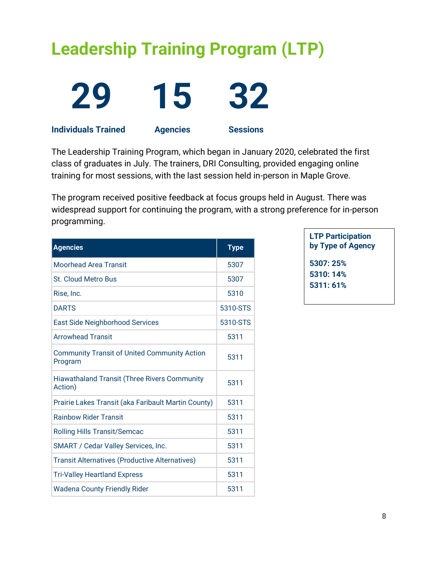## <span id="page-8-0"></span>**Leadership Training Program (LTP)**





**Individuals Trained Agencies Sessions**

The Leadership Training Program, which began in January 2020, celebrated the first class of graduates in July. The trainers, DRI Consulting, provided engaging online training for most sessions, with the last session held in-person in Maple Grove.

The program received positive feedback at focus groups held in August. There was widespread support for continuing the program, with a strong preference for in-person programming.

| <b>Agencies</b>                                                | <b>Type</b> |
|----------------------------------------------------------------|-------------|
| <b>Moorhead Area Transit</b>                                   | 5307        |
| <b>St. Cloud Metro Bus</b>                                     | 5307        |
| Rise, Inc.                                                     | 5310        |
| <b>DARTS</b>                                                   | 5310-STS    |
| <b>East Side Neighborhood Services</b>                         | 5310-STS    |
| <b>Arrowhead Transit</b>                                       | 5311        |
| <b>Community Transit of United Community Action</b><br>Program | 5311        |
| <b>Hiawathaland Transit (Three Rivers Community</b><br>Action) | 5311        |
| Prairie Lakes Transit (aka Faribault Martin County)            | 5311        |
| <b>Rainbow Rider Transit</b>                                   | 5311        |
| <b>Rolling Hills Transit/Semcac</b>                            | 5311        |
| <b>SMART / Cedar Valley Services, Inc.</b>                     | 5311        |
| <b>Transit Alternatives (Productive Alternatives)</b>          | 5311        |
| <b>Tri-Valley Heartland Express</b>                            | 5311        |
| <b>Wadena County Friendly Rider</b>                            | 5311        |

**LTP Participation by Type of Agency 5307: 25% 5310: 14%**

**5311: 61%**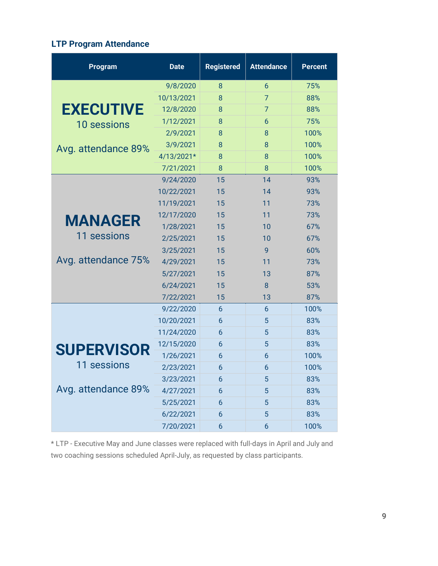### **LTP Program Attendance**

| Program             | <b>Date</b> | <b>Registered</b> | <b>Attendance</b> | <b>Percent</b> |
|---------------------|-------------|-------------------|-------------------|----------------|
|                     | 9/8/2020    | 8                 | 6                 | 75%            |
|                     | 10/13/2021  | 8                 | $\overline{7}$    | 88%            |
| <b>EXECUTIVE</b>    | 12/8/2020   | 8                 | $\overline{7}$    | 88%            |
| <b>10 sessions</b>  | 1/12/2021   | 8                 | 6                 | 75%            |
|                     | 2/9/2021    | 8                 | 8                 | 100%           |
| Avg. attendance 89% | 3/9/2021    | 8                 | 8                 | 100%           |
|                     | 4/13/2021*  | 8                 | 8                 | 100%           |
|                     | 7/21/2021   | 8                 | 8                 | 100%           |
|                     | 9/24/2020   | 15                | 14                | 93%            |
|                     | 10/22/2021  | 15                | 14                | 93%            |
|                     | 11/19/2021  | 15                | 11                | 73%            |
| <b>MANAGER</b>      | 12/17/2020  | 15                | 11                | 73%            |
|                     | 1/28/2021   | 15                | 10                | 67%            |
| 11 sessions         | 2/25/2021   | 15                | 10                | 67%            |
|                     | 3/25/2021   | 15                | 9                 | 60%            |
| Avg. attendance 75% | 4/29/2021   | 15                | 11                | 73%            |
|                     | 5/27/2021   | 15                | 13                | 87%            |
|                     | 6/24/2021   | 15                | 8                 | 53%            |
|                     | 7/22/2021   | 15                | 13                | 87%            |
|                     | 9/22/2020   | 6                 | 6                 | 100%           |
|                     | 10/20/2021  | 6                 | 5                 | 83%            |
|                     | 11/24/2020  | 6                 | 5                 | 83%            |
| <b>SUPERVISOR</b>   | 12/15/2020  | 6                 | 5                 | 83%            |
|                     | 1/26/2021   | 6                 | 6                 | 100%           |
| 11 sessions         | 2/23/2021   | 6                 | 6                 | 100%           |
|                     | 3/23/2021   | 6                 | 5                 | 83%            |
| Avg. attendance 89% | 4/27/2021   | $\boldsymbol{6}$  | 5                 | 83%            |
|                     | 5/25/2021   | 6                 | 5                 | 83%            |
|                     | 6/22/2021   | 6                 | 5                 | 83%            |
|                     | 7/20/2021   | 6                 | 6                 | 100%           |

<span id="page-9-0"></span>\* LTP - Executive May and June classes were replaced with full-days in April and July and two coaching sessions scheduled April-July, as requested by class participants.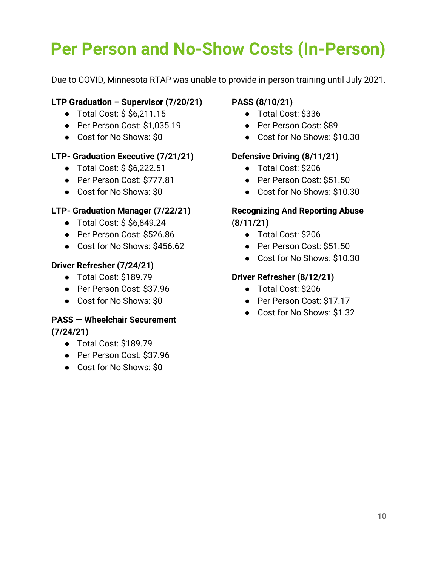## **Per Person and No-Show Costs (In-Person)**

Due to COVID, Minnesota RTAP was unable to provide in-person training until July 2021.

### **LTP Graduation – Supervisor (7/20/21)**

- Total Cost: \$ \$6,211.15
- Per Person Cost: \$1,035.19
- Cost for No Shows: \$0

### **LTP- Graduation Executive (7/21/21)**

- Total Cost: \$ \$6,222.51
- Per Person Cost: \$777.81
- Cost for No Shows: \$0

### **LTP- Graduation Manager (7/22/21)**

- Total Cost: \$ \$6,849.24
- Per Person Cost: \$526.86
- Cost for No Shows: \$456.62

### **Driver Refresher (7/24/21)**

- Total Cost: \$189.79
- Per Person Cost: \$37.96
- Cost for No Shows: \$0

### **PASS — Wheelchair Securement**

**(7/24/21)**

- Total Cost: \$189.79
- Per Person Cost: \$37.96
- Cost for No Shows: \$0

### **PASS (8/10/21)**

- Total Cost: \$336
- Per Person Cost: \$89
- Cost for No Shows: \$10.30

### **Defensive Driving (8/11/21)**

- Total Cost: \$206
- Per Person Cost: \$51.50
- Cost for No Shows: \$10.30

### **Recognizing And Reporting Abuse (8/11/21)**

- Total Cost: \$206
- Per Person Cost: \$51.50
- Cost for No Shows: \$10.30

### **Driver Refresher (8/12/21)**

- Total Cost: \$206
- Per Person Cost: \$17.17
- Cost for No Shows: \$1.32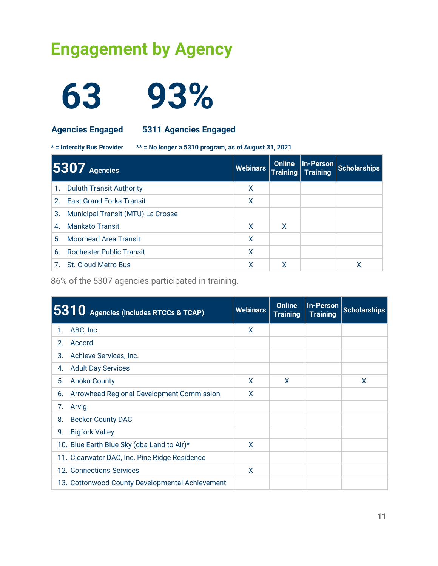### <span id="page-11-0"></span>**Engagement by Agency**



**63 93%** 

**Agencies Engaged 5311 Agencies Engaged**

**\* = Intercity Bus Provider \*\* = No longer a 5310 program, as of August 31, 2021**

|    | $5307$ Agencies                   | <b>Webinars</b> | <b>Online</b> | Training Training | In-Person Scholarships |
|----|-----------------------------------|-----------------|---------------|-------------------|------------------------|
|    | 1. Duluth Transit Authority       | x               |               |                   |                        |
|    | 2. East Grand Forks Transit       | X               |               |                   |                        |
| 3. | Municipal Transit (MTU) La Crosse |                 |               |                   |                        |
| 4. | Mankato Transit                   | X               | X             |                   |                        |
| 5. | Moorhead Area Transit             | x               |               |                   |                        |
| 6. | <b>Rochester Public Transit</b>   | x               |               |                   |                        |
|    | 7. St. Cloud Metro Bus            |                 |               |                   | x                      |

86% of the 5307 agencies participated in training.

|    | 5310 Agencies (includes RTCCs & TCAP)           | <b>Webinars</b> | <b>Online</b><br><b>Training</b> | <b>Training</b> | In-Person Scholarships |
|----|-------------------------------------------------|-----------------|----------------------------------|-----------------|------------------------|
| 1. | ABC, Inc.                                       | X               |                                  |                 |                        |
| 2. | Accord                                          |                 |                                  |                 |                        |
| З. | Achieve Services, Inc.                          |                 |                                  |                 |                        |
| 4. | <b>Adult Day Services</b>                       |                 |                                  |                 |                        |
| 5. | <b>Anoka County</b>                             | X               | X                                |                 | X                      |
| 6. | Arrowhead Regional Development Commission       | X               |                                  |                 |                        |
| 7. | Arvig                                           |                 |                                  |                 |                        |
| 8. | <b>Becker County DAC</b>                        |                 |                                  |                 |                        |
| 9. | <b>Bigfork Valley</b>                           |                 |                                  |                 |                        |
|    | 10. Blue Earth Blue Sky (dba Land to Air)*      | X               |                                  |                 |                        |
|    | 11. Clearwater DAC, Inc. Pine Ridge Residence   |                 |                                  |                 |                        |
|    | 12. Connections Services                        | X               |                                  |                 |                        |
|    | 13. Cottonwood County Developmental Achievement |                 |                                  |                 |                        |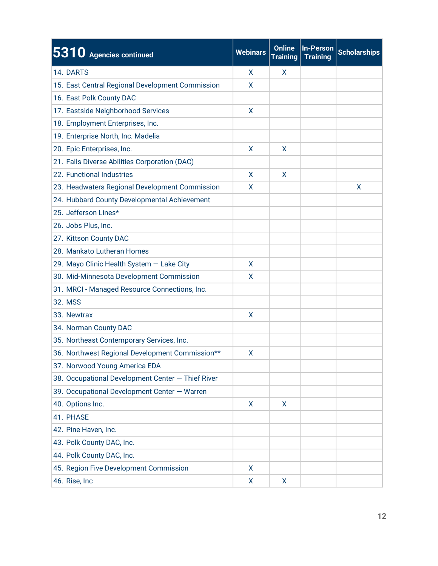| 5310 Agencies continued                           | <b>Webinars</b> | <b>Online</b><br><b>Training</b> | <b>In-Person</b><br><b>Training</b> | <b>Scholarships</b> |
|---------------------------------------------------|-----------------|----------------------------------|-------------------------------------|---------------------|
| 14. DARTS                                         | X               | X                                |                                     |                     |
| 15. East Central Regional Development Commission  | X               |                                  |                                     |                     |
| 16. East Polk County DAC                          |                 |                                  |                                     |                     |
| 17. Eastside Neighborhood Services                | X               |                                  |                                     |                     |
| 18. Employment Enterprises, Inc.                  |                 |                                  |                                     |                     |
| 19. Enterprise North, Inc. Madelia                |                 |                                  |                                     |                     |
| 20. Epic Enterprises, Inc.                        | X               | X                                |                                     |                     |
| 21. Falls Diverse Abilities Corporation (DAC)     |                 |                                  |                                     |                     |
| 22. Functional Industries                         | X               | X                                |                                     |                     |
| 23. Headwaters Regional Development Commission    | X               |                                  |                                     | X                   |
| 24. Hubbard County Developmental Achievement      |                 |                                  |                                     |                     |
| 25. Jefferson Lines*                              |                 |                                  |                                     |                     |
| 26. Jobs Plus, Inc.                               |                 |                                  |                                     |                     |
| 27. Kittson County DAC                            |                 |                                  |                                     |                     |
| 28. Mankato Lutheran Homes                        |                 |                                  |                                     |                     |
| 29. Mayo Clinic Health System - Lake City         | X               |                                  |                                     |                     |
| 30. Mid-Minnesota Development Commission          | X               |                                  |                                     |                     |
| 31. MRCI - Managed Resource Connections, Inc.     |                 |                                  |                                     |                     |
| 32. MSS                                           |                 |                                  |                                     |                     |
| 33. Newtrax                                       | X               |                                  |                                     |                     |
| 34. Norman County DAC                             |                 |                                  |                                     |                     |
| 35. Northeast Contemporary Services, Inc.         |                 |                                  |                                     |                     |
| 36. Northwest Regional Development Commission**   | X               |                                  |                                     |                     |
| 37. Norwood Young America EDA                     |                 |                                  |                                     |                     |
| 38. Occupational Development Center - Thief River |                 |                                  |                                     |                     |
| 39. Occupational Development Center - Warren      |                 |                                  |                                     |                     |
| 40. Options Inc.                                  | X.              | X                                |                                     |                     |
| 41. PHASE                                         |                 |                                  |                                     |                     |
| 42. Pine Haven, Inc.                              |                 |                                  |                                     |                     |
| 43. Polk County DAC, Inc.                         |                 |                                  |                                     |                     |
| 44. Polk County DAC, Inc.                         |                 |                                  |                                     |                     |
| 45. Region Five Development Commission            | X               |                                  |                                     |                     |
| 46. Rise, Inc                                     | X               | X                                |                                     |                     |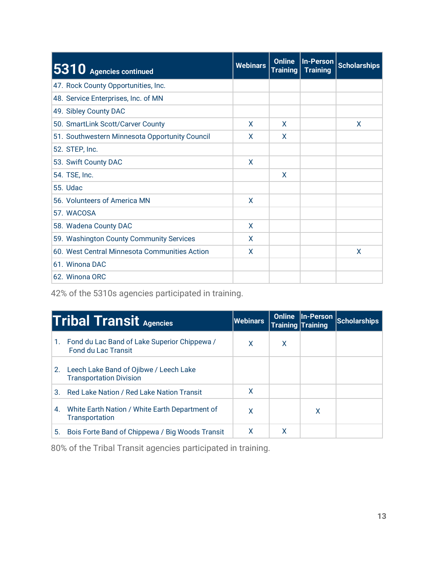| 5310 Agencies continued                        | <b>Webinars</b> | <b>Online</b><br><b>Training</b> | <b>In-Person</b><br><b>Training</b> | <b>Scholarships</b> |
|------------------------------------------------|-----------------|----------------------------------|-------------------------------------|---------------------|
| 47. Rock County Opportunities, Inc.            |                 |                                  |                                     |                     |
| 48. Service Enterprises, Inc. of MN            |                 |                                  |                                     |                     |
| 49. Sibley County DAC                          |                 |                                  |                                     |                     |
| 50. SmartLink Scott/Carver County              | X               | $\mathsf{x}$                     |                                     | X                   |
| 51. Southwestern Minnesota Opportunity Council | X               | X                                |                                     |                     |
| 52. STEP, Inc.                                 |                 |                                  |                                     |                     |
| 53. Swift County DAC                           | X               |                                  |                                     |                     |
| 54. TSE, Inc.                                  |                 | X                                |                                     |                     |
| <b>55. Udac</b>                                |                 |                                  |                                     |                     |
| 56. Volunteers of America MN                   | X               |                                  |                                     |                     |
| 57. WACOSA                                     |                 |                                  |                                     |                     |
| 58. Wadena County DAC                          | X               |                                  |                                     |                     |
| 59. Washington County Community Services       | X               |                                  |                                     |                     |
| 60. West Central Minnesota Communities Action  | X               |                                  |                                     | X                   |
| 61. Winona DAC                                 |                 |                                  |                                     |                     |
| 62. Winona ORC                                 |                 |                                  |                                     |                     |

42% of the 5310s agencies participated in training.

|    | <b>Tribal Transit Agencies</b>                                                | Webinars | <b>Online</b> | <b>Training Training</b> | In-Person Scholarships |
|----|-------------------------------------------------------------------------------|----------|---------------|--------------------------|------------------------|
|    | 1. Fond du Lac Band of Lake Superior Chippewa /<br><b>Fond du Lac Transit</b> | X        | X             |                          |                        |
|    | 2. Leech Lake Band of Ojibwe / Leech Lake<br><b>Transportation Division</b>   |          |               |                          |                        |
| 3. | Red Lake Nation / Red Lake Nation Transit                                     | X        |               |                          |                        |
| 4. | White Earth Nation / White Earth Department of<br><b>Transportation</b>       | X        |               | x                        |                        |
| 5. | Bois Forte Band of Chippewa / Big Woods Transit                               | χ        | χ             |                          |                        |

80% of the Tribal Transit agencies participated in training.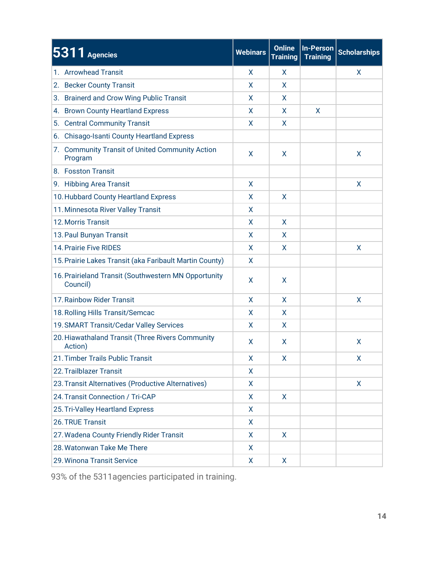| 5311 Agencies                                                    | <b>Webinars</b> | <b>Online</b><br><b>Training</b> | <b>In-Person</b><br><b>Training</b> | <b>Scholarships</b> |
|------------------------------------------------------------------|-----------------|----------------------------------|-------------------------------------|---------------------|
| 1. Arrowhead Transit                                             | X.              | X                                |                                     | X                   |
| 2. Becker County Transit                                         | X               | X                                |                                     |                     |
| <b>Brainerd and Crow Wing Public Transit</b><br>З.               | X               | X                                |                                     |                     |
| <b>Brown County Heartland Express</b><br>4.                      | X               | X                                | X                                   |                     |
| <b>Central Community Transit</b><br>5.                           | X               | X                                |                                     |                     |
| 6. Chisago-Isanti County Heartland Express                       |                 |                                  |                                     |                     |
| 7. Community Transit of United Community Action<br>Program       | X               | X                                |                                     | X                   |
| 8. Fosston Transit                                               |                 |                                  |                                     |                     |
| 9. Hibbing Area Transit                                          | X               |                                  |                                     | X                   |
| 10. Hubbard County Heartland Express                             | X               | X                                |                                     |                     |
| 11. Minnesota River Valley Transit                               | X               |                                  |                                     |                     |
| 12. Morris Transit                                               | X               | X                                |                                     |                     |
| 13. Paul Bunyan Transit                                          | X               | X                                |                                     |                     |
| <b>14. Prairie Five RIDES</b>                                    | X               | X                                |                                     | X                   |
| 15. Prairie Lakes Transit (aka Faribault Martin County)          | X               |                                  |                                     |                     |
| 16. Prairieland Transit (Southwestern MN Opportunity<br>Council) | X               | X                                |                                     |                     |
| 17. Rainbow Rider Transit                                        | X               | X                                |                                     | X                   |
| 18. Rolling Hills Transit/Semcac                                 | X               | X                                |                                     |                     |
| 19. SMART Transit/Cedar Valley Services                          | X               | X                                |                                     |                     |
| 20. Hiawathaland Transit (Three Rivers Community<br>Action)      | X               | X                                |                                     | X                   |
| 21. Timber Trails Public Transit                                 | X               | X                                |                                     | X                   |
| 22. Trailblazer Transit                                          | X               |                                  |                                     |                     |
| 23. Transit Alternatives (Productive Alternatives)               | X               |                                  |                                     | X                   |
| 24. Transit Connection / Tri-CAP                                 | X               | X                                |                                     |                     |
| 25. Tri-Valley Heartland Express                                 | X               |                                  |                                     |                     |
| 26. TRUE Transit                                                 | X               |                                  |                                     |                     |
| 27. Wadena County Friendly Rider Transit                         | X.              | X                                |                                     |                     |
| 28. Watonwan Take Me There                                       | X.              |                                  |                                     |                     |
| 29. Winona Transit Service                                       | X.              | X.                               |                                     |                     |

93% of the 5311agencies participated in training.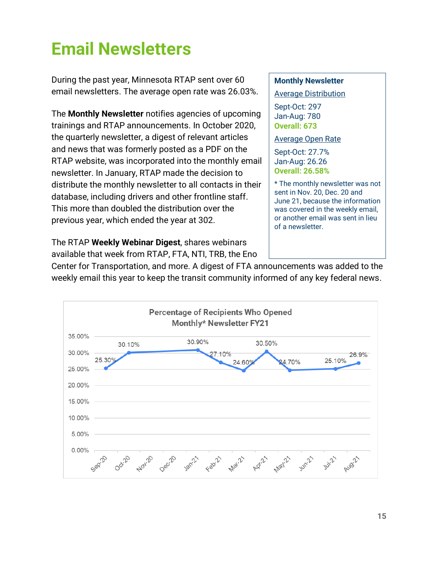### <span id="page-15-0"></span>**Email Newsletters**

During the past year, Minnesota RTAP sent over 60 email newsletters. The average open rate was 26.03%.

The **Monthly Newsletter** notifies agencies of upcoming trainings and RTAP announcements. In October 2020, the quarterly newsletter, a digest of relevant articles and news that was formerly posted as a PDF on the RTAP website, was incorporated into the monthly email newsletter. In January, RTAP made the decision to distribute the monthly newsletter to all contacts in their database, including drivers and other frontline staff. This more than doubled the distribution over the previous year, which ended the year at 302.

The RTAP **Weekly Webinar Digest**, shares webinars available that week from RTAP, FTA, NTI, TRB, the Eno

#### **Monthly Newsletter**

Average Distribution

Sept-Oct: 297 Jan-Aug: 780 **Overall: 673**

Average Open Rate

Sept-Oct: 27.7% Jan-Aug: 26.26 **Overall: 26.58%**

\* The monthly newsletter was not sent in Nov. 20, Dec. 20 and June 21, because the information was covered in the weekly email, or another email was sent in lieu of a newsletter.

Center for Transportation, and more. A digest of FTA announcements was added to the weekly email this year to keep the transit community informed of any key federal news.

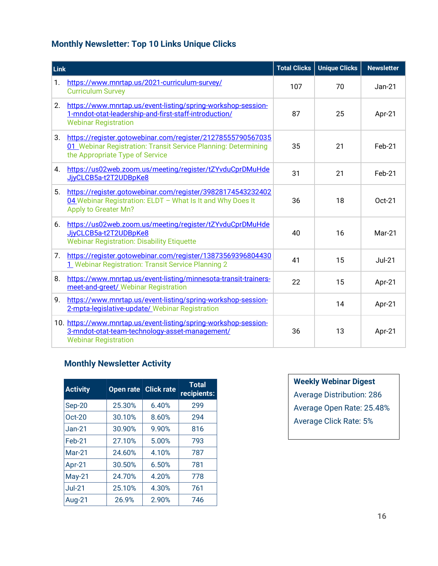### **Monthly Newsletter: Top 10 Links Unique Clicks**

| Link           |                                                                                                                                                                  | <b>Total Clicks</b> | <b>Unique Clicks</b> | <b>Newsletter</b> |
|----------------|------------------------------------------------------------------------------------------------------------------------------------------------------------------|---------------------|----------------------|-------------------|
| $\mathbf{1}$ . | https://www.mnrtap.us/2021-curriculum-survey/<br><b>Curriculum Survey</b>                                                                                        | 107                 | 70                   | $Jan-21$          |
| 2.             | https://www.mnrtap.us/event-listing/spring-workshop-session-<br>1-mndot-otat-leadership-and-first-staff-introduction/<br><b>Webinar Registration</b>             | 87                  | 25                   | Apr-21            |
| 3.             | https://register.gotowebinar.com/register/21278555790567035<br>01 Webinar Registration: Transit Service Planning: Determining<br>the Appropriate Type of Service | 35                  | 21                   | Feb-21            |
| 4.             | https://us02web.zoom.us/meeting/register/tZYvduCprDMuHde<br>JjyCLCB5a-t2T2UDBpKe8                                                                                | 31                  | 21                   | Feb-21            |
| 5.             | https://register.gotowebinar.com/register/39828174543232402<br>04 Webinar Registration: ELDT - What Is It and Why Does It<br><b>Apply to Greater Mn?</b>         | 36                  | 18                   | Oct-21            |
| 6.             | https://us02web.zoom.us/meeting/register/tZYvduCprDMuHde<br>JjyCLCB5a-t2T2UDBpKe8<br><b>Webinar Registration: Disability Etiquette</b>                           | 40                  | 16                   | Mar-21            |
| 7.             | https://register.gotowebinar.com/register/13873569396804430<br>1 Webinar Registration: Transit Service Planning 2                                                | 41                  | 15                   | $Jul-21$          |
| 8.             | https://www.mnrtap.us/event-listing/minnesota-transit-trainers-<br>meet-and-greet/ Webinar Registration                                                          | 22                  | 15                   | Apr-21            |
| 9.             | https://www.mnrtap.us/event-listing/spring-workshop-session-<br>2-mpta-legislative-update/ Webinar Registration                                                  |                     | 14                   | Apr-21            |
|                | 10. https://www.mnrtap.us/event-listing/spring-workshop-session-<br>3-mndot-otat-team-technology-asset-management/<br><b>Webinar Registration</b>                | 36                  | 13                   | Apr-21            |

### **Monthly Newsletter Activity**

| <b>Activity</b> | Open rate | <b>Click rate</b> | <b>Total</b><br>recipients: |
|-----------------|-----------|-------------------|-----------------------------|
| Sep-20          | 25.30%    | 6.40%             | 299                         |
| $Oct-20$        | 30.10%    | 8.60%             | 294                         |
| $Jan-21$        | 30.90%    | 9.90%             | 816                         |
| $Feb-21$        | 27.10%    | 5.00%             | 793                         |
| $Mar-21$        | 24.60%    | 4.10%             | 787                         |
| Apr-21          | 30.50%    | 6.50%             | 781                         |
| $May-21$        | 24.70%    | 4.20%             | 778                         |
| $Jul-21$        | 25.10%    | 4.30%             | 761                         |
| Aug-21          | 26.9%     | 2.90%             | 746                         |

**Weekly Webinar Digest**  Average Distribution: 286 Average Open Rate: 25.48% Average Click Rate: 5%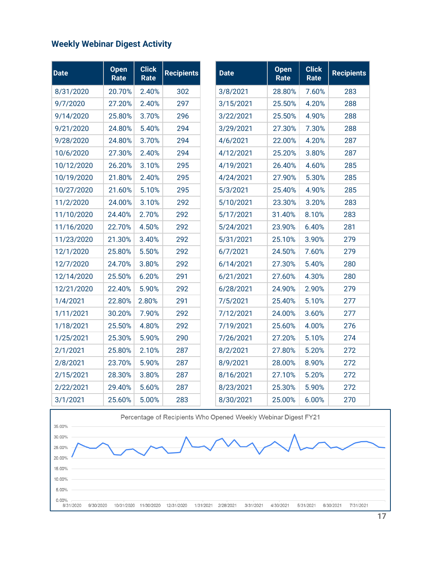### <span id="page-17-0"></span>**Weekly Webinar Digest Activity**

| <b>Date</b> | <b>Open</b><br>Rate | <b>Click</b><br>Rate | <b>Recipients</b> | <b>Date</b> | <b>Open</b><br>Rate | <b>Click</b><br>Rate | <b>Recipients</b> |
|-------------|---------------------|----------------------|-------------------|-------------|---------------------|----------------------|-------------------|
| 8/31/2020   | 20.70%              | 2.40%                | 302               | 3/8/2021    | 28.80%              | 7.60%                | 283               |
| 9/7/2020    | 27.20%              | 2.40%                | 297               | 3/15/2021   | 25.50%              | 4.20%                | 288               |
| 9/14/2020   | 25.80%              | 3.70%                | 296               | 3/22/2021   | 25.50%              | 4.90%                | 288               |
| 9/21/2020   | 24.80%              | 5.40%                | 294               | 3/29/2021   | 27.30%              | 7.30%                | 288               |
| 9/28/2020   | 24.80%              | 3.70%                | 294               | 4/6/2021    | 22.00%              | 4.20%                | 287               |
| 10/6/2020   | 27.30%              | 2.40%                | 294               | 4/12/2021   | 25.20%              | 3.80%                | 287               |
| 10/12/2020  | 26.20%              | 3.10%                | 295               | 4/19/2021   | 26.40%              | 4.60%                | 285               |
| 10/19/2020  | 21.80%              | 2.40%                | 295               | 4/24/2021   | 27.90%              | 5.30%                | 285               |
| 10/27/2020  | 21.60%              | 5.10%                | 295               | 5/3/2021    | 25.40%              | 4.90%                | 285               |
| 11/2/2020   | 24.00%              | 3.10%                | 292               | 5/10/2021   | 23.30%              | 3.20%                | 283               |
| 11/10/2020  | 24.40%              | 2.70%                | 292               | 5/17/2021   | 31.40%              | 8.10%                | 283               |
| 11/16/2020  | 22.70%              | 4.50%                | 292               | 5/24/2021   | 23.90%              | 6.40%                | 281               |
| 11/23/2020  | 21.30%              | 3.40%                | 292               | 5/31/2021   | 25.10%              | 3.90%                | 279               |
| 12/1/2020   | 25.80%              | 5.50%                | 292               | 6/7/2021    | 24.50%              | 7.60%                | 279               |
| 12/7/2020   | 24.70%              | 3.80%                | 292               | 6/14/2021   | 27.30%              | 5.40%                | 280               |
| 12/14/2020  | 25.50%              | 6.20%                | 291               | 6/21/2021   | 27.60%              | 4.30%                | 280               |
| 12/21/2020  | 22.40%              | 5.90%                | 292               | 6/28/2021   | 24.90%              | 2.90%                | 279               |
| 1/4/2021    | 22.80%              | 2.80%                | 291               | 7/5/2021    | 25.40%              | 5.10%                | 277               |
| 1/11/2021   | 30.20%              | 7.90%                | 292               | 7/12/2021   | 24.00%              | 3.60%                | 277               |
| 1/18/2021   | 25.50%              | 4.80%                | 292               | 7/19/2021   | 25.60%              | 4.00%                | 276               |
| 1/25/2021   | 25.30%              | 5.90%                | 290               | 7/26/2021   | 27.20%              | 5.10%                | 274               |
| 2/1/2021    | 25.80%              | 2.10%                | 287               | 8/2/2021    | 27.80%              | 5.20%                | 272               |
| 2/8/2021    | 23.70%              | 5.90%                | 287               | 8/9/2021    | 28.00%              | 8.90%                | 272               |
| 2/15/2021   | 28.30%              | 3.80%                | 287               | 8/16/2021   | 27.10%              | 5.20%                | 272               |
| 2/22/2021   | 29.40%              | 5.60%                | 287               | 8/23/2021   | 25.30%              | 5.90%                | 272               |
| 3/1/2021    | 25.60%              | 5.00%                | 283               | 8/30/2021   | 25.00%              | 6.00%                | 270               |

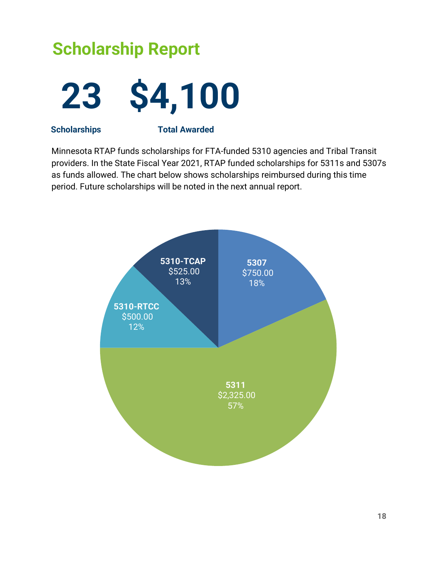# **Scholarship Report 23 \$4,100**

**Scholarships Total Awarded**

Minnesota RTAP funds scholarships for FTA-funded 5310 agencies and Tribal Transit providers. In the State Fiscal Year 2021, RTAP funded scholarships for 5311s and 5307s as funds allowed. The chart below shows scholarships reimbursed during this time period. Future scholarships will be noted in the next annual report.

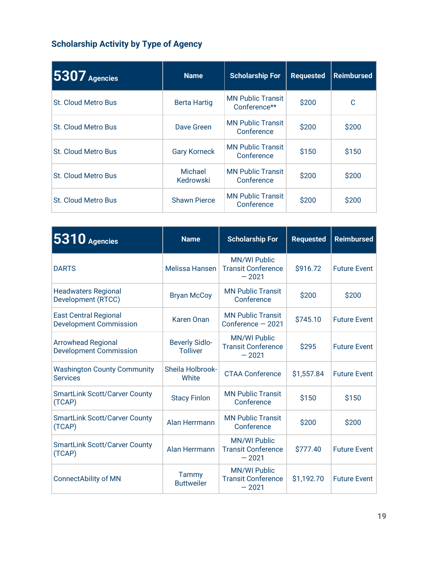### **Scholarship Activity by Type of Agency**

| $5307$ Agencies            | <b>Name</b>          | <b>Scholarship For</b>                   | <b>Requested</b> | <b>Reimbursed</b> |
|----------------------------|----------------------|------------------------------------------|------------------|-------------------|
| <b>St. Cloud Metro Bus</b> | <b>Berta Hartig</b>  | <b>MN Public Transit</b><br>Conference** | \$200            | C                 |
| <b>St. Cloud Metro Bus</b> | Dave Green           | <b>MN Public Transit</b><br>Conference   | \$200            | \$200             |
| <b>St. Cloud Metro Bus</b> | <b>Gary Korneck</b>  | <b>MN Public Transit</b><br>Conference   | \$150            | \$150             |
| <b>St. Cloud Metro Bus</b> | Michael<br>Kedrowski | <b>MN Public Transit</b><br>Conference   | \$200            | \$200             |
| <b>St. Cloud Metro Bus</b> | <b>Shawn Pierce</b>  | <b>MN Public Transit</b><br>Conference   | \$200            | \$200             |

| 5310 Agencies<br><b>Name</b>                                  |                                          | <b>Scholarship For</b>                                      | <b>Requested</b> | <b>Reimbursed</b>   |
|---------------------------------------------------------------|------------------------------------------|-------------------------------------------------------------|------------------|---------------------|
| <b>DARTS</b>                                                  | <b>Melissa Hansen</b>                    | <b>MN/WI Public</b><br><b>Transit Conference</b><br>$-2021$ | \$916.72         | <b>Future Event</b> |
| <b>Headwaters Regional</b><br>Development (RTCC)              | <b>Bryan McCoy</b>                       | <b>MN Public Transit</b><br>Conference                      | \$200            | \$200               |
| <b>East Central Regional</b><br><b>Development Commission</b> | <b>Karen Onan</b>                        | <b>MN Public Transit</b><br>Conference $-2021$              | \$745.10         | <b>Future Event</b> |
| <b>Arrowhead Regional</b><br><b>Development Commission</b>    | <b>Beverly Sidlo-</b><br><b>Tolliver</b> | <b>MN/WI Public</b><br><b>Transit Conference</b><br>$-2021$ | \$295            | <b>Future Event</b> |
| <b>Washington County Community</b><br><b>Services</b>         | Sheila Holbrook-<br>White                | <b>CTAA Conference</b>                                      | \$1,557.84       | <b>Future Event</b> |
| <b>SmartLink Scott/Carver County</b><br>(TCAP)                | <b>Stacy Finlon</b>                      | <b>MN Public Transit</b><br>Conference                      | \$150            | \$150               |
| <b>SmartLink Scott/Carver County</b><br>(TCAP)                | Alan Herrmann                            | <b>MN Public Transit</b><br>Conference                      | \$200            | \$200               |
| <b>SmartLink Scott/Carver County</b><br>(TCAP)                | Alan Herrmann                            | <b>MN/WI Public</b><br><b>Transit Conference</b><br>$-2021$ | \$777.40         | <b>Future Event</b> |
| <b>ConnectAbility of MN</b>                                   | Tammy<br><b>Buttweiler</b>               | <b>MN/WI Public</b><br><b>Transit Conference</b><br>$-2021$ | \$1,192.70       | <b>Future Event</b> |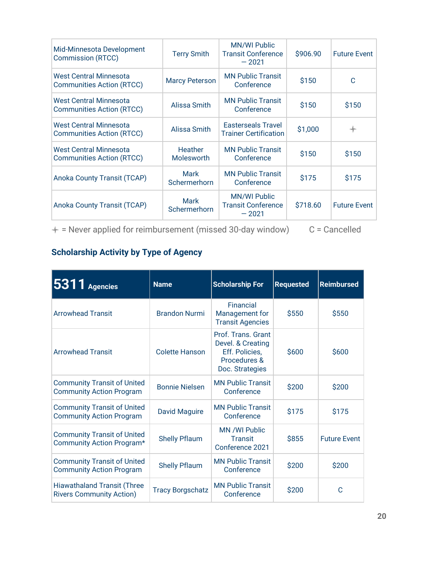| Mid-Minnesota Development<br><b>Commission (RTCC)</b>             | <b>Terry Smith</b>                  | <b>MN/WI Public</b><br><b>Transit Conference</b><br>$-2021$ | \$906.90 | <b>Future Event</b> |
|-------------------------------------------------------------------|-------------------------------------|-------------------------------------------------------------|----------|---------------------|
| West Central Minnesota<br><b>Communities Action (RTCC)</b>        | <b>Marcy Peterson</b>               | <b>MN Public Transit</b><br>Conference                      | \$150    | C                   |
| West Central Minnesota<br><b>Communities Action (RTCC)</b>        | Alissa Smith                        | <b>MN Public Transit</b><br>Conference                      | \$150    | \$150               |
| <b>West Central Minnesota</b><br><b>Communities Action (RTCC)</b> | Alissa Smith                        | <b>Easterseals Travel</b><br><b>Trainer Certification</b>   | \$1,000  | $\ast$              |
| <b>West Central Minnesota</b><br><b>Communities Action (RTCC)</b> | <b>Heather</b><br><b>Molesworth</b> | <b>MN Public Transit</b><br>Conference                      | \$150    | \$150               |
| Anoka County Transit (TCAP)                                       | Mark<br>Schermerhorn                | <b>MN Public Transit</b><br>Conference                      | \$175    | \$175               |
| Anoka County Transit (TCAP)                                       | <b>Mark</b><br>Schermerhorn         | <b>MN/WI Public</b><br><b>Transit Conference</b><br>$-2021$ | \$718.60 | <b>Future Event</b> |

 $+$  = Never applied for reimbursement (missed 30-day window)  $C$  = Cancelled

### <span id="page-20-0"></span>**Scholarship Activity by Type of Agency**

| <b>5311</b> Agencies                                                  | <b>Name</b>             | <b>Scholarship For</b>                                                                       | <b>Requested</b> | <b>Reimbursed</b>   |
|-----------------------------------------------------------------------|-------------------------|----------------------------------------------------------------------------------------------|------------------|---------------------|
| <b>Arrowhead Transit</b>                                              | <b>Brandon Nurmi</b>    | Financial<br>Management for<br><b>Transit Agencies</b>                                       | \$550            | \$550               |
| <b>Arrowhead Transit</b>                                              | <b>Colette Hanson</b>   | Prof. Trans. Grant<br>Devel. & Creating<br>Eff. Policies,<br>Procedures &<br>Doc. Strategies | \$600            | \$600               |
| <b>Community Transit of United</b><br><b>Community Action Program</b> | <b>Bonnie Nielsen</b>   | <b>MN Public Transit</b><br>Conference                                                       | \$200            | \$200               |
| <b>Community Transit of United</b><br><b>Community Action Program</b> | <b>David Maguire</b>    | <b>MN Public Transit</b><br>Conference                                                       | \$175            | \$175               |
| <b>Community Transit of United</b><br>Community Action Program*       | <b>Shelly Pflaum</b>    | MN /WI Public<br><b>Transit</b><br>Conference 2021                                           | \$855            | <b>Future Event</b> |
| <b>Community Transit of United</b><br><b>Community Action Program</b> | <b>Shelly Pflaum</b>    | <b>MN Public Transit</b><br>Conference                                                       | \$200            | \$200               |
| <b>Hiawathaland Transit (Three</b><br><b>Rivers Community Action)</b> | <b>Tracy Borgschatz</b> | <b>MN Public Transit</b><br>Conference                                                       | \$200            | C                   |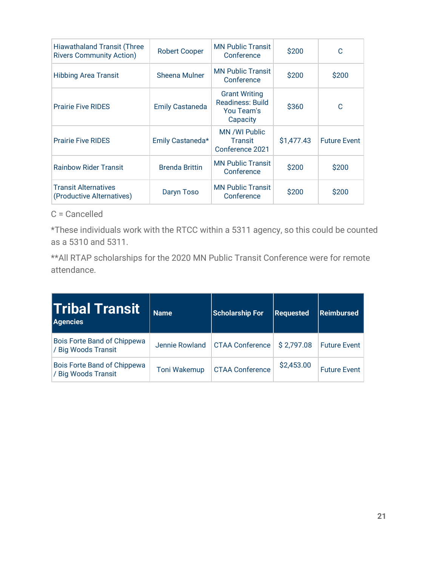| <b>Hiawathaland Transit (Three</b><br><b>Rivers Community Action)</b> | <b>Robert Cooper</b>   | <b>MN Public Transit</b><br>Conference                                    | \$200      | C                   |
|-----------------------------------------------------------------------|------------------------|---------------------------------------------------------------------------|------------|---------------------|
| <b>Hibbing Area Transit</b>                                           | Sheena Mulner          | <b>MN Public Transit</b><br>Conference                                    | \$200      | \$200               |
| <b>Prairie Five RIDES</b>                                             | <b>Emily Castaneda</b> | <b>Grant Writing</b><br><b>Readiness: Build</b><br>You Team's<br>Capacity | \$360      | C                   |
| <b>Prairie Five RIDES</b>                                             | Emily Castaneda*       | MN /WI Public<br><b>Transit</b><br>Conference 2021                        | \$1,477.43 | <b>Future Event</b> |
| <b>Rainbow Rider Transit</b>                                          | <b>Brenda Brittin</b>  | <b>MN Public Transit</b><br>Conference                                    | \$200      | \$200               |
| <b>Transit Alternatives</b><br>(Productive Alternatives)              | Daryn Toso             | <b>MN Public Transit</b><br>Conference                                    | \$200      | \$200               |

### C = Cancelled

\*These individuals work with the RTCC within a 5311 agency, so this could be counted as a 5310 and 5311.

\*\*All RTAP scholarships for the 2020 MN Public Transit Conference were for remote attendance.

| <b>Tribal Transit</b><br><b>Agencies</b>           | <b>Name</b>         | <b>Scholarship For</b> | <b>Requested</b> | Reimbursed          |
|----------------------------------------------------|---------------------|------------------------|------------------|---------------------|
| Bois Forte Band of Chippewa<br>/ Big Woods Transit | Jennie Rowland      | <b>CTAA Conference</b> | \$2,797.08       | <b>Future Event</b> |
| Bois Forte Band of Chippewa<br>/ Big Woods Transit | <b>Toni Wakemup</b> | <b>CTAA Conference</b> | \$2,453.00       | <b>Future Event</b> |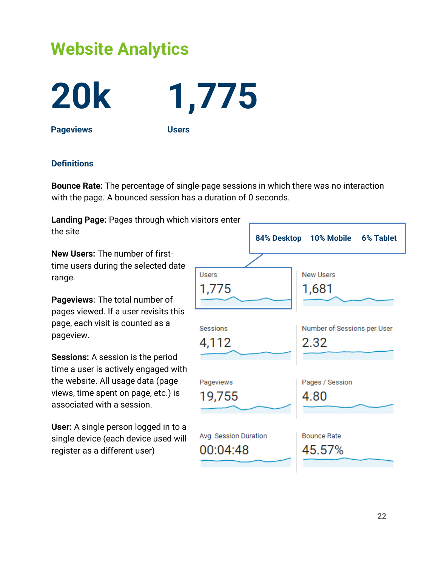### **Website Analytics**



**20k 1,775**

**Pageviews Users**

#### **Definitions**

**Bounce Rate:** The percentage of single-page sessions in which there was no interaction with the page. A bounced session has a duration of 0 seconds.

**Landing Page:** Pages through which visitors enter the site

**New Users:** The number of firsttime users during the selected date range.

**Pageviews:** The total number of pages viewed. If a user revisits this page, each visit is counted as a pageview.

**Sessions:** A session is the period time a user is actively engaged with the website. All usage data (page views, time spent on page, etc.) is associated with a session.

**User:** A single person logged in to a single device (each device used will register as a different user)

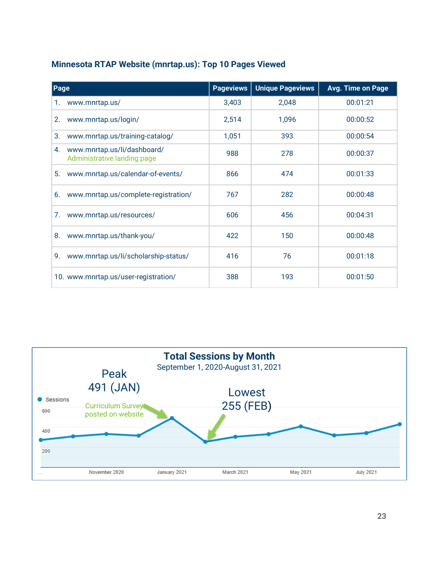#### **Minnesota RTAP Website (mnrtap.us): Top 10 Pages Viewed**

| Page                                                             | <b>Pageviews</b> | <b>Unique Pageviews</b> | <b>Avg. Time on Page</b> |
|------------------------------------------------------------------|------------------|-------------------------|--------------------------|
| www.mnrtap.us/<br>1.                                             | 3,403            | 2,048                   | 00:01:21                 |
| www.mnrtap.us/login/<br>2.                                       | 2,514            | 1,096                   | 00:00:52                 |
| 3.<br>www.mnrtap.us/training-catalog/                            | 1,051            | 393                     | 00:00:54                 |
| 4.<br>www.mnrtap.us/li/dashboard/<br>Administrative landing page | 988              | 278                     | 00:00:37                 |
| 5.<br>www.mnrtap.us/calendar-of-events/                          | 866              | 474                     | 00:01:33                 |
| www.mnrtap.us/complete-registration/<br>6.                       | 767              | 282                     | 00:00:48                 |
| 7.<br>www.mnrtap.us/resources/                                   | 606              | 456                     | 00:04:31                 |
| 8.<br>www.mnrtap.us/thank-you/                                   | 422              | 150                     | 00:00:48                 |
| 9.<br>www.mnrtap.us/li/scholarship-status/                       | 416              | 76                      | 00:01:18                 |
| 10. www.mnrtap.us/user-registration/                             | 388              | 193                     | 00:01:50                 |

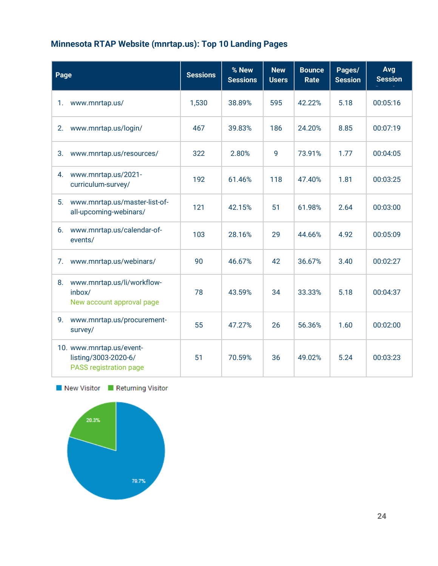### **Minnesota RTAP Website (mnrtap.us): Top 10 Landing Pages**

| Page                                                                       |  | <b>Sessions</b> | % New<br><b>Sessions</b> | <b>New</b><br><b>Users</b> | <b>Bounce</b><br>Rate | Pages/<br><b>Session</b> | Avg<br><b>Session</b> |
|----------------------------------------------------------------------------|--|-----------------|--------------------------|----------------------------|-----------------------|--------------------------|-----------------------|
| 1.<br>www.mnrtap.us/                                                       |  | 1,530           | 38.89%                   | 595                        | 42.22%                | 5.18                     | 00:05:16              |
| www.mnrtap.us/login/<br>2.                                                 |  | 467             | 39.83%                   | 186                        | 24.20%                | 8.85                     | 00:07:19              |
| www.mnrtap.us/resources/<br>3.                                             |  | 322             | 2.80%                    | 9                          | 73.91%                | 1.77                     | 00:04:05              |
| www.mnrtap.us/2021-<br>4.<br>curriculum-survey/                            |  | 192             | 61.46%                   | 118                        | 47.40%                | 1.81                     | 00:03:25              |
| www.mnrtap.us/master-list-of-<br>5.<br>all-upcoming-webinars/              |  | 121             | 42.15%                   | 51                         | 61.98%                | 2.64                     | 00:03:00              |
| www.mnrtap.us/calendar-of-<br>6.<br>events/                                |  | 103             | 28.16%                   | 29                         | 44.66%                | 4.92                     | 00:05:09              |
| www.mnrtap.us/webinars/<br>7.                                              |  | 90              | 46.67%                   | 42                         | 36.67%                | 3.40                     | 00:02:27              |
| 8.<br>www.mnrtap.us/li/workflow-<br>inbox/<br>New account approval page    |  | 78              | 43.59%                   | 34                         | 33.33%                | 5.18                     | 00:04:37              |
| 9.<br>www.mnrtap.us/procurement-<br>survey/                                |  | 55              | 47.27%                   | 26                         | 56.36%                | 1.60                     | 00:02:00              |
| 10. www.mnrtap.us/event-<br>listing/3003-2020-6/<br>PASS registration page |  | 51              | 70.59%                   | 36                         | 49.02%                | 5.24                     | 00:03:23              |

New Visitor Returning Visitor